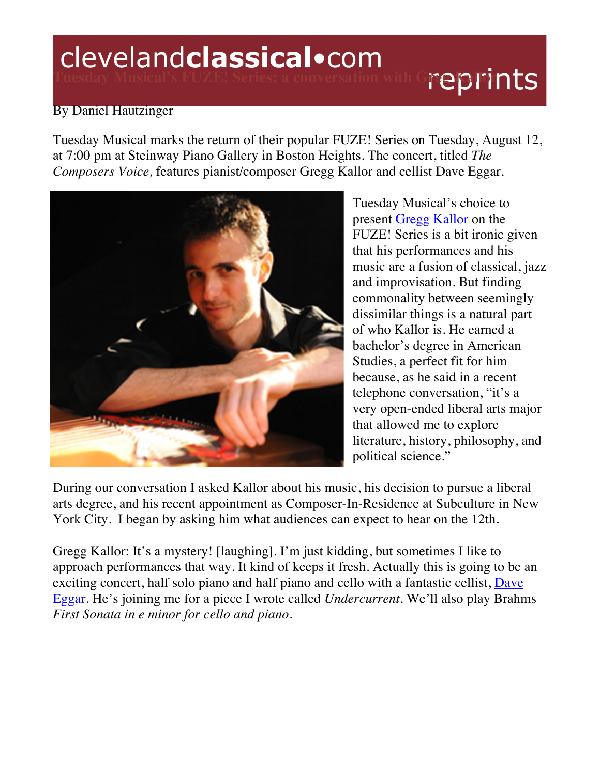# clevelandclassical.com reprints

# By Daniel Hautzinger

Tuesday Musical marks the return of their popular FUZE! Series on Tuesday, August 12, at 7:00 pm at Steinway Piano Gallery in Boston Heights. The concert, titled *The Composers Voice,* features pianist/composer Gregg Kallor and cellist Dave Eggar.



Tuesday Musical's choice to present Gregg Kallor on the FUZE! Series is a bit ironic given that his performances and his music are a fusion of classical, jazz and improvisation. But finding commonality between seemingly dissimilar things is a natural part of who Kallor is. He earned a bachelor's degree in American Studies, a perfect fit for him because, as he said in a recent telephone conversation, "it's a very open-ended liberal arts major that allowed me to explore literature, history, philosophy, and political science."

During our conversation I asked Kallor about his music, his decision to pursue a liberal arts degree, and his recent appointment as Composer-In-Residence at Subculture in New York City. I began by asking him what audiences can expect to hear on the 12th.

Gregg Kallor: It's a mystery! [laughing]. I'm just kidding, but sometimes I like to approach performances that way. It kind of keeps it fresh. Actually this is going to be an exciting concert, half solo piano and half piano and cello with a fantastic cellist, Dave Eggar. He's joining me for a piece I wrote called *Undercurrent*. We'll also play Brahms *First Sonata in e minor for cello and piano*.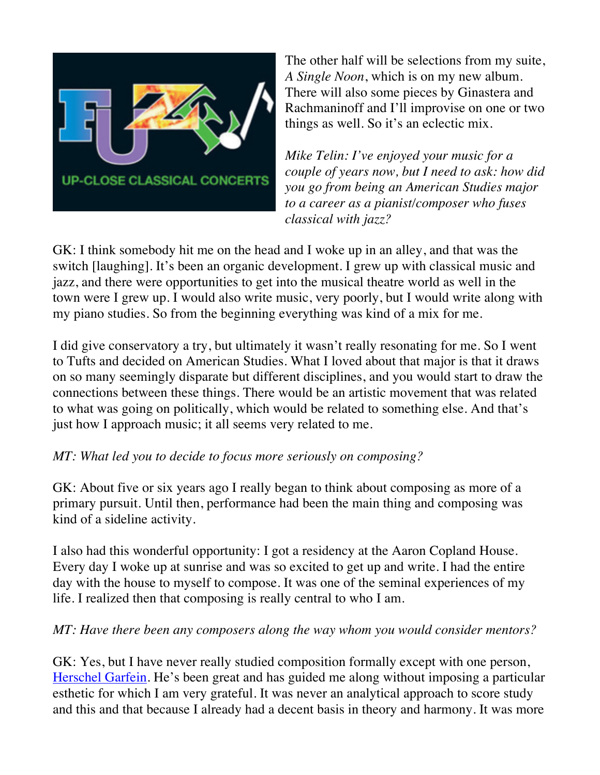

The other half will be selections from my suite, *A Single Noon*, which is on my new album. There will also some pieces by Ginastera and Rachmaninoff and I'll improvise on one or two things as well. So it's an eclectic mix.

*Mike Telin: I've enjoyed your music for a couple of years now, but I need to ask: how did you go from being an American Studies major to a career as a pianist/composer who fuses classical with jazz?* 

GK: I think somebody hit me on the head and I woke up in an alley, and that was the switch [laughing]. It's been an organic development. I grew up with classical music and jazz, and there were opportunities to get into the musical theatre world as well in the town were I grew up. I would also write music, very poorly, but I would write along with my piano studies. So from the beginning everything was kind of a mix for me.

I did give conservatory a try, but ultimately it wasn't really resonating for me. So I went to Tufts and decided on American Studies. What I loved about that major is that it draws on so many seemingly disparate but different disciplines, and you would start to draw the connections between these things. There would be an artistic movement that was related to what was going on politically, which would be related to something else. And that's just how I approach music; it all seems very related to me.

# *MT: What led you to decide to focus more seriously on composing?*

GK: About five or six years ago I really began to think about composing as more of a primary pursuit. Until then, performance had been the main thing and composing was kind of a sideline activity.

I also had this wonderful opportunity: I got a residency at the Aaron Copland House. Every day I woke up at sunrise and was so excited to get up and write. I had the entire day with the house to myself to compose. It was one of the seminal experiences of my life. I realized then that composing is really central to who I am.

### *MT: Have there been any composers along the way whom you would consider mentors?*

GK: Yes, but I have never really studied composition formally except with one person, Herschel Garfein. He's been great and has guided me along without imposing a particular esthetic for which I am very grateful. It was never an analytical approach to score study and this and that because I already had a decent basis in theory and harmony. It was more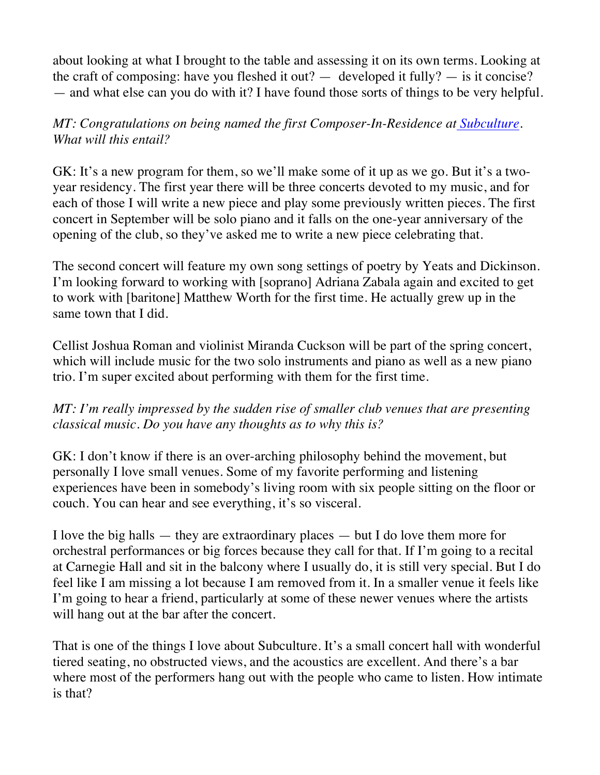about looking at what I brought to the table and assessing it on its own terms. Looking at the craft of composing: have you fleshed it out?  $-$  developed it fully?  $-$  is it concise? — and what else can you do with it? I have found those sorts of things to be very helpful.

## *MT: Congratulations on being named the first Composer-In-Residence at Subculture. What will this entail?*

GK: It's a new program for them, so we'll make some of it up as we go. But it's a twoyear residency. The first year there will be three concerts devoted to my music, and for each of those I will write a new piece and play some previously written pieces. The first concert in September will be solo piano and it falls on the one-year anniversary of the opening of the club, so they've asked me to write a new piece celebrating that.

The second concert will feature my own song settings of poetry by Yeats and Dickinson. I'm looking forward to working with [soprano] Adriana Zabala again and excited to get to work with [baritone] Matthew Worth for the first time. He actually grew up in the same town that I did.

Cellist Joshua Roman and violinist Miranda Cuckson will be part of the spring concert, which will include music for the two solo instruments and piano as well as a new piano trio. I'm super excited about performing with them for the first time.

### *MT: I'm really impressed by the sudden rise of smaller club venues that are presenting classical music. Do you have any thoughts as to why this is?*

GK: I don't know if there is an over-arching philosophy behind the movement, but personally I love small venues. Some of my favorite performing and listening experiences have been in somebody's living room with six people sitting on the floor or couch. You can hear and see everything, it's so visceral.

I love the big halls  $-$  they are extraordinary places  $-$  but I do love them more for orchestral performances or big forces because they call for that. If I'm going to a recital at Carnegie Hall and sit in the balcony where I usually do, it is still very special. But I do feel like I am missing a lot because I am removed from it. In a smaller venue it feels like I'm going to hear a friend, particularly at some of these newer venues where the artists will hang out at the bar after the concert.

That is one of the things I love about Subculture. It's a small concert hall with wonderful tiered seating, no obstructed views, and the acoustics are excellent. And there's a bar where most of the performers hang out with the people who came to listen. How intimate is that?